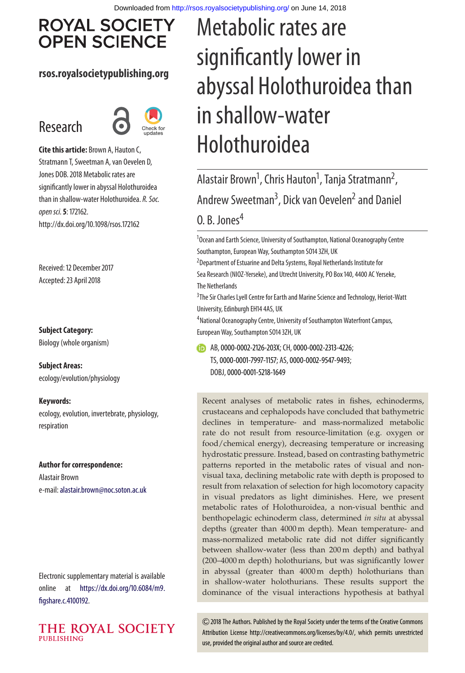# **ROYAL SOCIETY OPEN SCIENCE**

#### **rsos.royalsocietypublishing.org**

# Research



**Cite this article:** Brown A, Hauton C, Stratmann T, Sweetman A, van Oevelen D, Jones DOB. 2018 Metabolic rates are significantly lower in abyssal Holothuroidea than in shallow-water Holothuroidea. R. Soc. open sci.**5**: 172162. http://dx.doi.org/10.1098/rsos.172162

Received: 12 December 2017 Accepted: 23 April 2018

**Subject Category:** Biology (whole organism)

**Subject Areas:** ecology/evolution/physiology

**Keywords:**

ecology, evolution, invertebrate, physiology, respiration

#### **Author for correspondence:**

Alastair Brown e-mail:[alastair.brown@noc.soton.ac.uk](mailto:alastair.brown@noc.soton.ac.uk)

Electronic supplementary material is available online at [https://dx.doi.org/10.6084/m9.](https://dx.doi.org/10.6084/m9.figshare.c.4100192) [figshare.c.4100192.](https://dx.doi.org/10.6084/m9.figshare.c.4100192)



# Metabolic rates are significantly lower in abyssal Holothuroidea than in shallow-water Holothuroidea

Alastair Brown<sup>1</sup>, Chris Hauton<sup>1</sup>, Tanja Stratmann<sup>2</sup> , Andrew Sweetman<sup>3</sup>, Dick van Oevelen<sup>2</sup> and Daniel 0. B. Jones<sup>4</sup>

<sup>1</sup>Ocean and Earth Science, University of Southampton, National Oceanography Centre Southampton, European Way, Southampton SO14 3ZH, UK

2 Department of Estuarine and Delta Systems, Royal Netherlands Institute for Sea Research (NIOZ-Yerseke), and Utrecht University, PO Box 140, 4400 AC Yerseke, The Netherlands

<sup>3</sup> The Sir Charles Lyell Centre for Earth and Marine Science and Technology, Heriot-Watt University, Edinburgh EH14 4AS, UK

<sup>4</sup> National Oceanography Centre, University of Southampton Waterfront Campus, European Way, Southampton SO14 3ZH, UK

AB,[0000-0002-2126-203X;](http://orcid.org/0000-0002-2126-203X) CH,[0000-0002-2313-4226;](http://orcid.org/0000-0002-2313-4226) TS,[0000-0001-7997-1157;](http://orcid.org/0000-0001-7997-1157) AS,[0000-0002-9547-9493;](http://orcid.org/0000-0002-9547-9493) DOBJ,[0000-0001-5218-1649](http://orcid.org/0000-0001-5218-1649)

Recent analyses of metabolic rates in fishes, echinoderms, crustaceans and cephalopods have concluded that bathymetric declines in temperature- and mass-normalized metabolic rate do not result from resource-limitation (e.g. oxygen or food/chemical energy), decreasing temperature or increasing hydrostatic pressure. Instead, based on contrasting bathymetric patterns reported in the metabolic rates of visual and nonvisual taxa, declining metabolic rate with depth is proposed to result from relaxation of selection for high locomotory capacity in visual predators as light diminishes. Here, we present metabolic rates of Holothuroidea, a non-visual benthic and benthopelagic echinoderm class, determined *in situ* at abyssal depths (greater than 4000 m depth). Mean temperature- and mass-normalized metabolic rate did not differ significantly between shallow-water (less than 200 m depth) and bathyal (200–4000 m depth) holothurians, but was significantly lower in abyssal (greater than 4000 m depth) holothurians than in shallow-water holothurians. These results support the dominance of the visual interactions hypothesis at bathyal

2018 The Authors. Published by the Royal Society under the terms of the Creative Commons Attribution License http://creativecommons.org/licenses/by/4.0/, which permits unrestricted use, provided the original author and source are credited.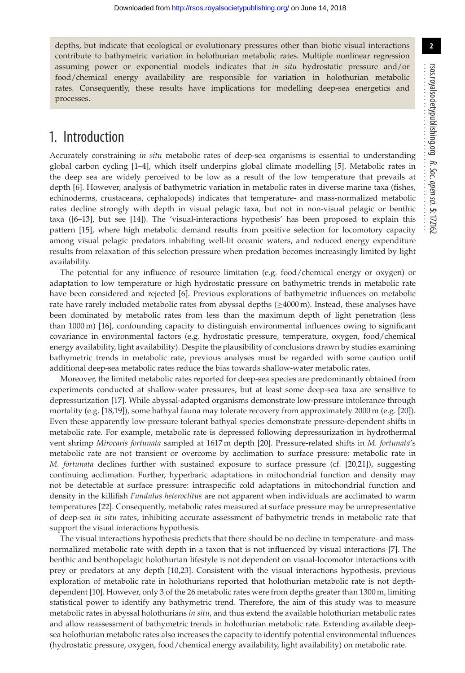depths, but indicate that ecological or evolutionary pressures other than biotic visual interactions contribute to bathymetric variation in holothurian metabolic rates. Multiple nonlinear regression assuming power or exponential models indicates that *in situ* hydrostatic pressure and/or food/chemical energy availability are responsible for variation in holothurian metabolic rates. Consequently, these results have implications for modelling deep-sea energetics and processes.

## 1. Introduction

Accurately constraining *in situ* metabolic rates of deep-sea organisms is essential to understanding global carbon cycling [\[1–](#page-10-0)[4\]](#page-10-1), which itself underpins global climate modelling [\[5\]](#page-10-2). Metabolic rates in the deep sea are widely perceived to be low as a result of the low temperature that prevails at depth [\[6\]](#page-10-3). However, analysis of bathymetric variation in metabolic rates in diverse marine taxa (fishes, echinoderms, crustaceans, cephalopods) indicates that temperature- and mass-normalized metabolic rates decline strongly with depth in visual pelagic taxa, but not in non-visual pelagic or benthic taxa ([\[6–](#page-10-3)[13\]](#page-11-0), but see [\[14\]](#page-11-1)). The 'visual-interactions hypothesis' has been proposed to explain this pattern [\[15\]](#page-11-2), where high metabolic demand results from positive selection for locomotory capacity among visual pelagic predators inhabiting well-lit oceanic waters, and reduced energy expenditure results from relaxation of this selection pressure when predation becomes increasingly limited by light availability.

The potential for any influence of resource limitation (e.g. food/chemical energy or oxygen) or adaptation to low temperature or high hydrostatic pressure on bathymetric trends in metabolic rate have been considered and rejected [\[6\]](#page-10-3). Previous explorations of bathymetric influences on metabolic rate have rarely included metabolic rates from abyssal depths (≥4000 m). Instead, these analyses have been dominated by metabolic rates from less than the maximum depth of light penetration (less than 1000 m) [\[16\]](#page-11-3), confounding capacity to distinguish environmental influences owing to significant covariance in environmental factors (e.g. hydrostatic pressure, temperature, oxygen, food/chemical energy availability, light availability). Despite the plausibility of conclusions drawn by studies examining bathymetric trends in metabolic rate, previous analyses must be regarded with some caution until additional deep-sea metabolic rates reduce the bias towards shallow-water metabolic rates.

Moreover, the limited metabolic rates reported for deep-sea species are predominantly obtained from experiments conducted at shallow-water pressures, but at least some deep-sea taxa are sensitive to depressurization [\[17\]](#page-11-4). While abyssal-adapted organisms demonstrate low-pressure intolerance through mortality (e.g. [\[18](#page-11-5)[,19\]](#page-11-6)), some bathyal fauna may tolerate recovery from approximately 2000 m (e.g. [\[20\]](#page-11-7)). Even these apparently low-pressure tolerant bathyal species demonstrate pressure-dependent shifts in metabolic rate. For example, metabolic rate is depressed following depressurization in hydrothermal vent shrimp *Mirocaris fortunata* sampled at 1617 m depth [\[20\]](#page-11-7). Pressure-related shifts in *M. fortunata*'s metabolic rate are not transient or overcome by acclimation to surface pressure: metabolic rate in *M. fortunata* declines further with sustained exposure to surface pressure (cf. [\[20,](#page-11-7)[21\]](#page-11-8)), suggesting continuing acclimation. Further, hyperbaric adaptations in mitochondrial function and density may not be detectable at surface pressure: intraspecific cold adaptations in mitochondrial function and density in the killifish *Fundulus heteroclitus* are not apparent when individuals are acclimated to warm temperatures [\[22\]](#page-11-9). Consequently, metabolic rates measured at surface pressure may be unrepresentative of deep-sea *in situ* rates, inhibiting accurate assessment of bathymetric trends in metabolic rate that support the visual interactions hypothesis.

The visual interactions hypothesis predicts that there should be no decline in temperature- and massnormalized metabolic rate with depth in a taxon that is not influenced by visual interactions [\[7\]](#page-10-4). The benthic and benthopelagic holothurian lifestyle is not dependent on visual-locomotor interactions with prey or predators at any depth [\[10,](#page-10-5)[23\]](#page-11-10). Consistent with the visual interactions hypothesis, previous exploration of metabolic rate in holothurians reported that holothurian metabolic rate is not depthdependent [\[10\]](#page-10-5). However, only 3 of the 26 metabolic rates were from depths greater than 1300 m, limiting statistical power to identify any bathymetric trend. Therefore, the aim of this study was to measure metabolic rates in abyssal holothurians *in situ*, and thus extend the available holothurian metabolic rates and allow reassessment of bathymetric trends in holothurian metabolic rate. Extending available deepsea holothurian metabolic rates also increases the capacity to identify potential environmental influences (hydrostatic pressure, oxygen, food/chemical energy availability, light availability) on metabolic rate.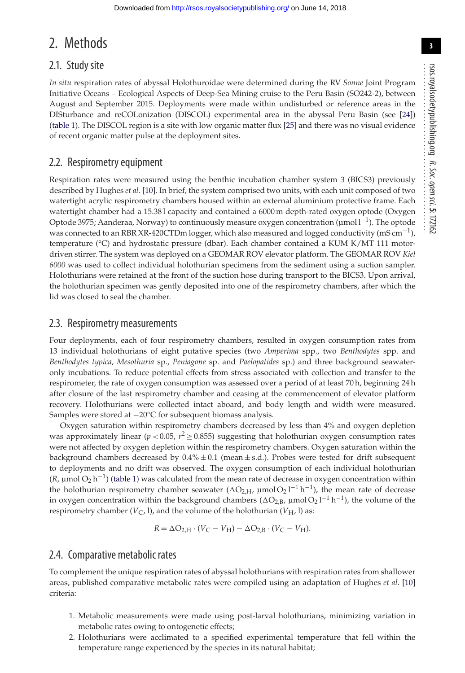## 2. Methods

#### 2.1. Study site

*In situ* respiration rates of abyssal Holothuroidae were determined during the RV *Sonne* Joint Program Initiative Oceans – Ecological Aspects of Deep-Sea Mining cruise to the Peru Basin (SO242-2), between August and September 2015. Deployments were made within undisturbed or reference areas in the DISturbance and reCOLonization (DISCOL) experimental area in the abyssal Peru Basin (see [\[24\]](#page-11-11)) [\(table 1\)](#page-3-0). The DISCOL region is a site with low organic matter flux [\[25\]](#page-11-12) and there was no visual evidence of recent organic matter pulse at the deployment sites.

#### 2.2. Respirometry equipment

Respiration rates were measured using the benthic incubation chamber system 3 (BICS3) previously described by Hughes *et al*. [\[10\]](#page-10-5). In brief, the system comprised two units, with each unit composed of two watertight acrylic respirometry chambers housed within an external aluminium protective frame. Each watertight chamber had a 15.381 capacity and contained a 6000 m depth-rated oxygen optode (Oxygen Optode 3975; Aanderaa, Norway) to continuously measure oxygen concentration (µmol  $l^{-1}$ ). The optode was connected to an RBR XR-420CTDm logger, which also measured and logged conductivity (mS cm<sup>-1</sup>), temperature (°C) and hydrostatic pressure (dbar). Each chamber contained a KUM K/MT 111 motordriven stirrer. The system was deployed on a GEOMAR ROV elevator platform. The GEOMAR ROV *Kiel 6000* was used to collect individual holothurian specimens from the sediment using a suction sampler. Holothurians were retained at the front of the suction hose during transport to the BICS3. Upon arrival, the holothurian specimen was gently deposited into one of the respirometry chambers, after which the lid was closed to seal the chamber.

#### 2.3. Respirometry measurements

Four deployments, each of four respirometry chambers, resulted in oxygen consumption rates from 13 individual holothurians of eight putative species (two *Amperima* spp., two *Benthodytes* spp. and *Benthodytes typica*, *Mesothuria* sp., *Peniagone* sp. and *Paelopatides* sp.) and three background seawateronly incubations. To reduce potential effects from stress associated with collection and transfer to the respirometer, the rate of oxygen consumption was assessed over a period of at least 70 h, beginning 24 h after closure of the last respirometry chamber and ceasing at the commencement of elevator platform recovery. Holothurians were collected intact aboard, and body length and width were measured. Samples were stored at −20°C for subsequent biomass analysis.

Oxygen saturation within respirometry chambers decreased by less than 4% and oxygen depletion was approximately linear ( $p < 0.05$ ,  $r^2 \ge 0.855$ ) suggesting that holothurian oxygen consumption rates were not affected by oxygen depletion within the respirometry chambers. Oxygen saturation within the background chambers decreased by  $0.4\% \pm 0.1$  (mean  $\pm$  s.d.). Probes were tested for drift subsequent to deployments and no drift was observed. The oxygen consumption of each individual holothurian  $(R, \mu \text{mol O}_2 \text{ h}^{-1})$  [\(table 1\)](#page-3-0) was calculated from the mean rate of decrease in oxygen concentration within the holothurian respirometry chamber seawater ( $\Delta O_{2,H}$ ,  $\mu$ mol $O_2 l^{-1} h^{-1}$ ), the mean rate of decrease in oxygen concentration within the background chambers ( $\Delta O_{2,B}$ ,  $\mu$ mol $O_2$  l<sup>-1</sup> h<sup>-1</sup>), the volume of the respirometry chamber  $(V_C, l)$ , and the volume of the holothurian  $(V_H, l)$  as:

$$
R = \Delta O_{2,H} \cdot (V_C - V_H) - \Delta O_{2,B} \cdot (V_C - V_H).
$$

#### 2.4. Comparative metabolic rates

To complement the unique respiration rates of abyssal holothurians with respiration rates from shallower areas, published comparative metabolic rates were compiled using an adaptation of Hughes *et al*. [\[10\]](#page-10-5) criteria:

- 1. Metabolic measurements were made using post-larval holothurians, minimizing variation in metabolic rates owing to ontogenetic effects;
- 2. Holothurians were acclimated to a specified experimental temperature that fell within the temperature range experienced by the species in its natural habitat;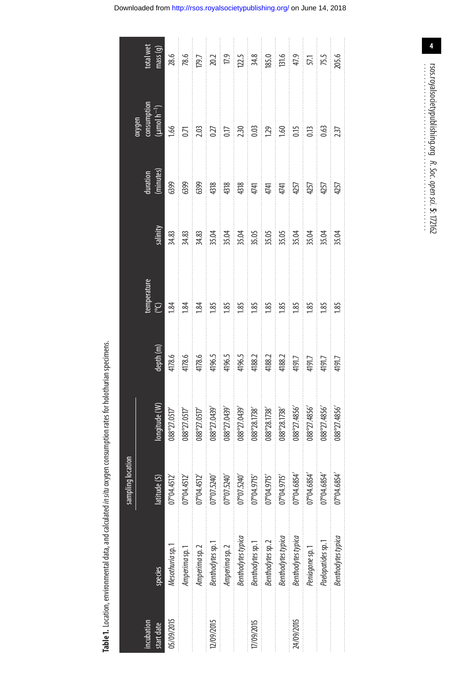<span id="page-3-0"></span>

|                          |                           | sampling location      |                                    |                                                                                                                                                                                                                                                                                             |                   |         |                       |                                                                                                |                                                                                                                                                                                                                                                                                 |
|--------------------------|---------------------------|------------------------|------------------------------------|---------------------------------------------------------------------------------------------------------------------------------------------------------------------------------------------------------------------------------------------------------------------------------------------|-------------------|---------|-----------------------|------------------------------------------------------------------------------------------------|---------------------------------------------------------------------------------------------------------------------------------------------------------------------------------------------------------------------------------------------------------------------------------|
| incubation<br>start date | species                   | latitude (S)           | ingitude (W)                       | depth (m)                                                                                                                                                                                                                                                                                   | emperature.<br>၉၅ | alinity | duration<br>(minutes) | $\begin{array}{c} \text{consumption} \ (\mu \text{mol}\ \text{h}^{-1}) \end{array}$<br>naphyxc | total wet<br>mass <sub>(g)</sub>                                                                                                                                                                                                                                                |
| 05/09/2015               | Mesothuria sp.1           | 07°04.4512             | 088°27.0517                        |                                                                                                                                                                                                                                                                                             | $\ddot{8}$        | 34.83   |                       | 1.66                                                                                           |                                                                                                                                                                                                                                                                                 |
|                          | Amperima sp.1             | 07°04.4512             | 088°27.0517'                       | $\begin{array}{l} 4178.6 \\ 4178.6 \\ 4178.6 \\ 4196.5 \\ 4196.5 \\ 4196.5 \\ 4196.5 \\ 4188.2 \\ 4188.2 \\ 4188.2 \\ 4191.7 \\ 4191.7 \\ 4191.7 \\ 4191.7 \\ 4191.7 \\ 4191.7 \\ 4191.7 \\ 4191.7 \\ 4191.7 \\ 4191.7 \\ 4191.7 \\ 4191.7 \\ 4191.7 \\ 4191.7 \\ 4191.7 \\ 4191.7 \\ 4191$ | ਼ੇਲ਼ੂ ਲ           |         |                       |                                                                                                | $\frac{26.6}{78.5}\begin{array}{ c c c c c c }\hline 20.01 & 0.01 & 0.01 & 0.01 & 0.01 & 0.01 & 0.01 & 0.01 & 0.01 & 0.01 & 0.01 & 0.01 & 0.01 & 0.01 & 0.01 & 0.01 & 0.01 & 0.01 & 0.01 & 0.01 & 0.01 & 0.01 & 0.01 & 0.01 & 0.01 & 0.01 & 0.01 & 0.01 & 0.01 & 0.01 & 0.01 &$ |
|                          | Amperima sp. 2            | 07°04.4512             | $088^{\circ}27.0517'$              |                                                                                                                                                                                                                                                                                             |                   |         |                       |                                                                                                |                                                                                                                                                                                                                                                                                 |
| 12/09/2015               | Benthodytes sp. 1         | 025707/07/240          | 088°Z1.0439'                       |                                                                                                                                                                                                                                                                                             |                   |         |                       |                                                                                                |                                                                                                                                                                                                                                                                                 |
|                          | Amperima sp. 2            | 17°07.5240             | $088^{\circ}Z\!.0439'$             |                                                                                                                                                                                                                                                                                             |                   |         |                       |                                                                                                |                                                                                                                                                                                                                                                                                 |
|                          | <b>Benthodytes typica</b> | 025240                 | 088°27.0439'                       |                                                                                                                                                                                                                                                                                             |                   |         |                       |                                                                                                |                                                                                                                                                                                                                                                                                 |
| 17/09/2015               | Benthodytes sp. 1         | 07°04.9715             | $088^\mathrm{o}28.1738^\mathrm{o}$ |                                                                                                                                                                                                                                                                                             |                   |         |                       |                                                                                                |                                                                                                                                                                                                                                                                                 |
|                          | Benthodytes sp. 2         | 07°04.9715             | $088^{\mathrm{o}}28.1738'$         |                                                                                                                                                                                                                                                                                             |                   |         |                       |                                                                                                |                                                                                                                                                                                                                                                                                 |
|                          | Benthodytes typica        | T <sup>o</sup> 04.9715 | 088°28.1738                        |                                                                                                                                                                                                                                                                                             |                   |         |                       |                                                                                                |                                                                                                                                                                                                                                                                                 |
| 24/09/2015               | <b>Benthodytes typica</b> | 07°04.6854             | 088°27.4856'                       |                                                                                                                                                                                                                                                                                             | 1.85              |         |                       |                                                                                                |                                                                                                                                                                                                                                                                                 |
|                          | Peniagone sp.1            | 07°04.6854             | $088^{\circ}Z\rlap{.}7.4856'$      |                                                                                                                                                                                                                                                                                             | $\frac{185}{ }$   |         |                       |                                                                                                |                                                                                                                                                                                                                                                                                 |
|                          | Paelopatides sp.1         | 17°04.6854             | 088°27.4856'                       |                                                                                                                                                                                                                                                                                             | 1.85              |         |                       | $\frac{63}{237}$                                                                               |                                                                                                                                                                                                                                                                                 |
|                          | Benthodytes typica        | 7°04.6854              | 088°27.4856'                       |                                                                                                                                                                                                                                                                                             | <u>i 85</u>       |         |                       |                                                                                                |                                                                                                                                                                                                                                                                                 |

Table 1. Location, environmental data, and calculated in situ oxygen consumption rates for holothurian specimens.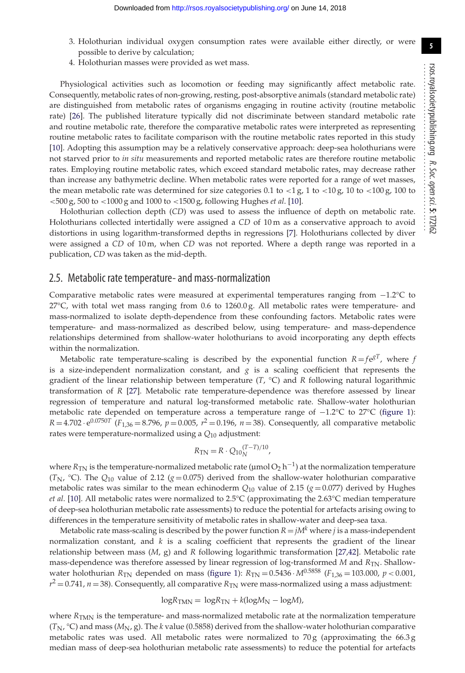- 3. Holothurian individual oxygen consumption rates were available either directly, or were possible to derive by calculation;
- 4. Holothurian masses were provided as wet mass.

Physiological activities such as locomotion or feeding may significantly affect metabolic rate. Consequently, metabolic rates of non-growing, resting, post-absorptive animals (standard metabolic rate) are distinguished from metabolic rates of organisms engaging in routine activity (routine metabolic rate) [\[26\]](#page-11-13). The published literature typically did not discriminate between standard metabolic rate and routine metabolic rate, therefore the comparative metabolic rates were interpreted as representing routine metabolic rates to facilitate comparison with the routine metabolic rates reported in this study [\[10\]](#page-10-5). Adopting this assumption may be a relatively conservative approach: deep-sea holothurians were not starved prior to *in situ* measurements and reported metabolic rates are therefore routine metabolic rates. Employing routine metabolic rates, which exceed standard metabolic rates, may decrease rather than increase any bathymetric decline. When metabolic rates were reported for a range of wet masses, the mean metabolic rate was determined for size categories 0.1 to  $\langle 1 \text{ g}, 1 \text{ to } \langle 10 \text{ g}, 10 \text{ to } \langle 100 \text{ g}, 100 \text{ to } \langle 100 \text{ g}, 100 \text{ to } \langle 100 \text{ g}, 100 \text{ to } \langle 100 \text{ g}, 100 \text{ to } \langle 100 \text{ g}, 100 \text{ to } \langle 100 \text{ g}, 100 \text{ to }$ <500 g, 500 to <1000 g and 1000 to <1500 g, following Hughes *et al*. [\[10\]](#page-10-5).

Holothurian collection depth (*CD*) was used to assess the influence of depth on metabolic rate. Holothurians collected intertidally were assigned a *CD* of 10 m as a conservative approach to avoid distortions in using logarithm-transformed depths in regressions [\[7\]](#page-10-4). Holothurians collected by diver were assigned a *CD* of 10 m, when *CD* was not reported. Where a depth range was reported in a publication, *CD* was taken as the mid-depth.

#### 2.5. Metabolic rate temperature- and mass-normalization

Comparative metabolic rates were measured at experimental temperatures ranging from −1.2°C to 27°C, with total wet mass ranging from 0.6 to 1260.0 g. All metabolic rates were temperature- and mass-normalized to isolate depth-dependence from these confounding factors. Metabolic rates were temperature- and mass-normalized as described below, using temperature- and mass-dependence relationships determined from shallow-water holothurians to avoid incorporating any depth effects within the normalization.

Metabolic rate temperature-scaling is described by the exponential function  $R = f e^{gT}$ , where *f* is a size-independent normalization constant, and *g* is a scaling coefficient that represents the gradient of the linear relationship between temperature (*T*, °C) and *R* following natural logarithmic transformation of *R* [\[27\]](#page-11-14). Metabolic rate temperature-dependence was therefore assessed by linear regression of temperature and natural log-transformed metabolic rate. Shallow-water holothurian metabolic rate depended on temperature across a temperature range of −1.2°C to 27°C [\(figure 1\)](#page-5-0):  $R = 4.702 \cdot e^{0.0750T}$  (*F*<sub>1,36</sub> = 8.796, *p* = 0.005,  $r^2$  = 0.196, *n* = 38). Consequently, all comparative metabolic rates were temperature-normalized using a *Q*<sup>10</sup> adjustment:

$$
R_{\rm TN} = R \cdot Q_{10N}^{(T-T)/10},
$$

where *R*<sub>TN</sub> is the temperature-normalized metabolic rate (µmol O<sub>2</sub> h<sup>-1</sup>) at the normalization temperature  $(T_N, {}^{\circ}C)$ . The  $Q_{10}$  value of 2.12 ( $g = 0.075$ ) derived from the shallow-water holothurian comparative metabolic rates was similar to the mean echinoderm  $Q_{10}$  value of 2.15 ( $g = 0.077$ ) derived by Hughes *et al*. [\[10\]](#page-10-5). All metabolic rates were normalized to 2.5°C (approximating the 2.63°C median temperature of deep-sea holothurian metabolic rate assessments) to reduce the potential for artefacts arising owing to differences in the temperature sensitivity of metabolic rates in shallow-water and deep-sea taxa.

Metabolic rate mass-scaling is described by the power function  $R = jM<sup>k</sup>$  where *j* is a mass-independent normalization constant, and *k* is a scaling coefficient that represents the gradient of the linear relationship between mass (*M*, g) and *R* following logarithmic transformation [\[27,](#page-11-14)[42\]](#page-11-15). Metabolic rate mass-dependence was therefore assessed by linear regression of log-transformed *M* and *R*<sub>TN</sub>. Shallowwater holothurian  $R_{TN}$  depended on mass [\(figure 1\)](#page-5-0):  $R_{TN} = 0.5436 \cdot M^{0.5858}$  ( $F_{1,36} = 103.000$ ,  $p < 0.001$ ,  $r^2 = 0.741$ ,  $n = 38$ ). Consequently, all comparative  $R_{TN}$  were mass-normalized using a mass adjustment:

$$
\log R_{\text{TMN}} = \log R_{\text{TN}} + k(\log M_{\text{N}} - \log M),
$$

where *R<sub>TMN</sub>* is the temperature- and mass-normalized metabolic rate at the normalization temperature  $(T_N, {}^{\circ}C)$  and mass ( $M_N$ , g). The *k* value (0.5858) derived from the shallow-water holothurian comparative metabolic rates was used. All metabolic rates were normalized to  $70 g$  (approximating the  $66.3 g$ ) median mass of deep-sea holothurian metabolic rate assessments) to reduce the potential for artefacts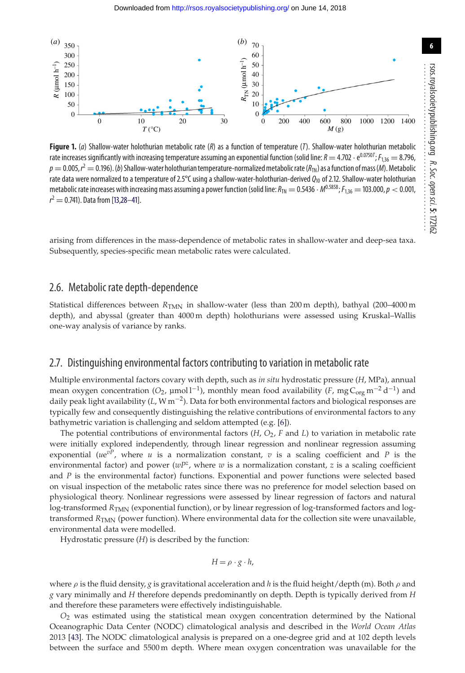<span id="page-5-0"></span>

**Figure 1.** (a) Shallow-water holothurian metabolic rate (R) as a function of temperature (T). Shallow-water holothurian metabolic rate increases significantly with increasing temperature assuming an exponential function (solid line:  $R = 4.702 \cdot e^{0.07507}$ ;  $F_{1,36} = 8.796$ ,  $p = 0.005$ ,  $r^2 = 0.196$ ). (b) Shallow-water holothurian temperature-normalized metabolic rate ( $R_{TN}$ ) as a function of mass (M). Metabolic rate data were normalized to a temperature of 2.5°C using a shallow-water-holothurian-derived  $Q_{10}$  of 2.12. Shallow-water holothurian metabolic rate increases with increasing mass assuming a power function (solid line:  $R_{\text{TN}} = 0.5436 \cdot M^{0.5858}$ ;  $F_{1.36} = 103.000$ ,  $p < 0.001$ ,  $r^2 = 0.741$ ). Data from [\[13,](#page-11-0)[28–](#page-11-16)[41\]](#page-11-17).

arising from differences in the mass-dependence of metabolic rates in shallow-water and deep-sea taxa. Subsequently, species-specific mean metabolic rates were calculated.

#### 2.6. Metabolic rate depth-dependence

Statistical differences between *R<sub>TMN</sub>* in shallow-water (less than 200 m depth), bathyal (200–4000 m depth), and abyssal (greater than 4000m depth) holothurians were assessed using Kruskal–Wallis one-way analysis of variance by ranks.

#### 2.7. Distinguishing environmental factors contributing to variation in metabolic rate

Multiple environmental factors covary with depth, such as *in situ* hydrostatic pressure (*H*, MPa), annual mean oxygen concentration ( $O_2$ ,  $\mu$ mol l<sup>-1</sup>), monthly mean food availability (*F*, mg C<sub>org</sub> m<sup>-2</sup> d<sup>-1</sup>) and daily peak light availability (*L*,Wm−2). Data for both environmental factors and biological responses are typically few and consequently distinguishing the relative contributions of environmental factors to any bathymetric variation is challenging and seldom attempted (e.g. [\[6\]](#page-10-3)).

The potential contributions of environmental factors  $(H, O_2, F$  and  $L$ ) to variation in metabolic rate were initially explored independently, through linear regression and nonlinear regression assuming exponential ( $ue^{vP}$ , where *u* is a normalization constant, *v* is a scaling coefficient and *P* is the environmental factor) and power (*wPz*, where *w* is a normalization constant, *z* is a scaling coefficient and *P* is the environmental factor) functions. Exponential and power functions were selected based on visual inspection of the metabolic rates since there was no preference for model selection based on physiological theory. Nonlinear regressions were assessed by linear regression of factors and natural log-transformed *R*<sub>TMN</sub> (exponential function), or by linear regression of log-transformed factors and logtransformed *R<sub>TMN</sub>* (power function). Where environmental data for the collection site were unavailable, environmental data were modelled.

Hydrostatic pressure (*H*) is described by the function:

$$
H = \rho \cdot g \cdot h,
$$

where ρ is the fluid density, *g* is gravitational acceleration and *h* is the fluid height/depth (m). Both ρ and *g* vary minimally and *H* therefore depends predominantly on depth. Depth is typically derived from *H* and therefore these parameters were effectively indistinguishable.

*O*<sup>2</sup> was estimated using the statistical mean oxygen concentration determined by the National Oceanographic Data Center (NODC) climatological analysis and described in the *World Ocean Atlas* 2013 [\[43\]](#page-11-18). The NODC climatological analysis is prepared on a one-degree grid and at 102 depth levels between the surface and 5500 m depth. Where mean oxygen concentration was unavailable for the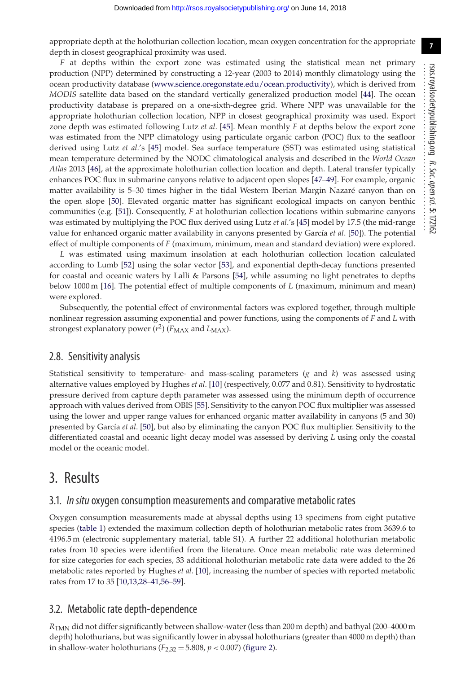appropriate depth at the holothurian collection location, mean oxygen concentration for the appropriate depth in closest geographical proximity was used.

*F* at depths within the export zone was estimated using the statistical mean net primary production (NPP) determined by constructing a 12-year (2003 to 2014) monthly climatology using the ocean productivity database [\(www.science.oregonstate.edu/ocean.productivity\)](www.science.oregonstate.edu/ocean.productivity), which is derived from *MODIS* satellite data based on the standard vertically generalized production model [\[44\]](#page-11-19). The ocean productivity database is prepared on a one-sixth-degree grid. Where NPP was unavailable for the appropriate holothurian collection location, NPP in closest geographical proximity was used. Export zone depth was estimated following Lutz *et al*. [\[45\]](#page-11-20). Mean monthly *F* at depths below the export zone was estimated from the NPP climatology using particulate organic carbon (POC) flux to the seafloor derived using Lutz *et al*.'s [\[45\]](#page-11-20) model. Sea surface temperature (SST) was estimated using statistical mean temperature determined by the NODC climatological analysis and described in the *World Ocean Atlas* 2013 [\[46\]](#page-11-21), at the approximate holothurian collection location and depth. Lateral transfer typically enhances POC flux in submarine canyons relative to adjacent open slopes [\[47](#page-11-22)[–49\]](#page-11-23). For example, organic matter availability is 5–30 times higher in the tidal Western Iberian Margin Nazaré canyon than on the open slope [\[50\]](#page-11-24). Elevated organic matter has significant ecological impacts on canyon benthic communities (e.g. [\[51\]](#page-11-25)). Consequently, *F* at holothurian collection locations within submarine canyons was estimated by multiplying the POC flux derived using Lutz *et al*.'s [\[45\]](#page-11-20) model by 17.5 (the mid-range value for enhanced organic matter availability in canyons presented by García *et al*. [\[50\]](#page-11-24)). The potential effect of multiple components of *F* (maximum, minimum, mean and standard deviation) were explored.

*L* was estimated using maximum insolation at each holothurian collection location calculated according to Lumb [\[52\]](#page-11-26) using the solar vector [\[53\]](#page-11-27), and exponential depth-decay functions presented for coastal and oceanic waters by Lalli & Parsons [\[54\]](#page-11-28), while assuming no light penetrates to depths below 1000 m [\[16\]](#page-11-3). The potential effect of multiple components of *L* (maximum, minimum and mean) were explored.

Subsequently, the potential effect of environmental factors was explored together, through multiple nonlinear regression assuming exponential and power functions, using the components of *F* and *L* with strongest explanatory power  $(r^2)$  ( $F_{MAX}$  and  $L_{MAX}$ ).

#### 2.8. Sensitivity analysis

Statistical sensitivity to temperature- and mass-scaling parameters (*g* and *k*) was assessed using alternative values employed by Hughes *et al*. [\[10\]](#page-10-5) (respectively, 0.077 and 0.81). Sensitivity to hydrostatic pressure derived from capture depth parameter was assessed using the minimum depth of occurrence approach with values derived from OBIS [\[55\]](#page-11-29). Sensitivity to the canyon POC flux multiplier was assessed using the lower and upper range values for enhanced organic matter availability in canyons (5 and 30) presented by García *et al*. [\[50\]](#page-11-24), but also by eliminating the canyon POC flux multiplier. Sensitivity to the differentiated coastal and oceanic light decay model was assessed by deriving *L* using only the coastal model or the oceanic model.

### 3. Results

#### 3.1. *In situ* oxygen consumption measurements and comparative metabolic rates

Oxygen consumption measurements made at abyssal depths using 13 specimens from eight putative species [\(table 1\)](#page-3-0) extended the maximum collection depth of holothurian metabolic rates from 3639.6 to 4196.5 m (electronic supplementary material, table S1). A further 22 additional holothurian metabolic rates from 10 species were identified from the literature. Once mean metabolic rate was determined for size categories for each species, 33 additional holothurian metabolic rate data were added to the 26 metabolic rates reported by Hughes *et al*. [\[10\]](#page-10-5), increasing the number of species with reported metabolic rates from 17 to 35 [\[10,](#page-10-5)[13,](#page-11-0)[28–](#page-11-16)[41,](#page-11-17)[56–](#page-11-30)[59\]](#page-12-0).

#### 3.2. Metabolic rate depth-dependence

*R*TMN did not differ significantly between shallow-water (less than 200 m depth) and bathyal (200–4000 m depth) holothurians, but was significantly lower in abyssal holothurians (greater than 4000 m depth) than in shallow-water holothurians  $(F_{2,32} = 5.808, p < 0.007)$  [\(figure 2\)](#page-7-0).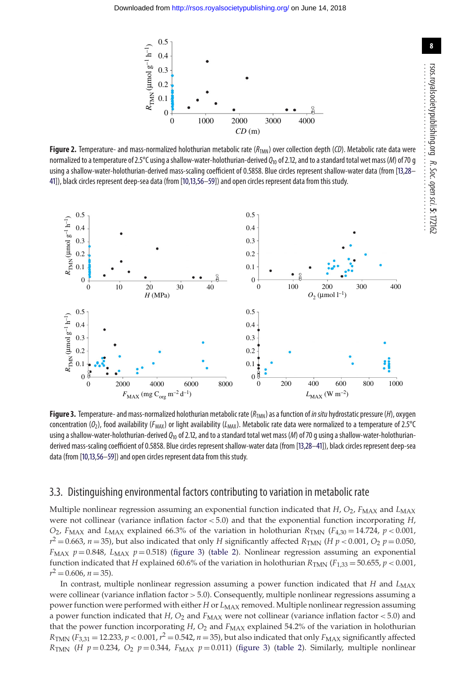<span id="page-7-0"></span>

**Figure 2.** Temperature- and mass-normalized holothurian metabolic rate  $(R_{TMM})$  over collection depth (CD). Metabolic rate data were normalized to a temperature of 2.5°C using a shallow-water-holothurian-derived  $Q_{10}$  of 2.12, and to a standard total wet mass (M) of 70 g using a shallow-water-holothurian-derived mass-scaling coefficient of 0.5858. Blue circles represent shallow-water data (from [\[13,](#page-11-0)[28–](#page-11-16) [41\]](#page-11-17)), black circles represent deep-sea data (from [\[10,](#page-10-5)[13,](#page-11-0)[56–](#page-11-30)[59\]](#page-12-0)) and open circles represent data from this study.

<span id="page-7-1"></span>

**Figure 3.** Temperature- and mass-normalized holothurian metabolic rate ( $R_{TMM}$ ) as a function of *in situ* hydrostatic pressure (*H*), oxygen concentration ( $O_2$ ), food availability ( $F_{MAX}$ ) or light availability ( $L_{MAX}$ ). Metabolic rate data were normalized to a temperature of 2.5°C using a shallow-water-holothurian-derived  $Q_{10}$  of 2.12, and to a standard total wet mass (M) of 70 g using a shallow-water-holothurianderived mass-scaling coefficient of 0.5858. Blue circles represent shallow-water data (from [\[13](#page-11-0)[,28](#page-11-16)[–41\]](#page-11-17)), black circles represent deep-sea data (from [\[10,](#page-10-5)[13,](#page-11-0)[56–](#page-11-30)[59\]](#page-12-0)) and open circles represent data from this study.

#### 3.3. Distinguishing environmental factors contributing to variation in metabolic rate

Multiple nonlinear regression assuming an exponential function indicated that *H*, *O*<sub>2</sub>, *F*<sub>MAX</sub> and *L*<sub>MAX</sub> were not collinear (variance inflation factor < 5.0) and that the exponential function incorporating *H*,  $O_2$ , *F*<sub>MAX</sub> and *L*<sub>MAX</sub> explained 66.3% of the variation in holothurian *R*<sub>TMN</sub> (*F*<sub>4,30</sub> = 14.724, *p* < 0.001,  $r^2 = 0.663$ ,  $n = 35$ ), but also indicated that only *H* significantly affected  $R_{\text{TMN}}$  (*H p* < 0.001, *O*<sub>2</sub> *p* = 0.050, *F<sub>MAX</sub>*  $p = 0.848$ ,  $L_{MAX}$   $p = 0.518$ ) [\(figure 3\)](#page-7-1) [\(table 2\)](#page-8-0). Nonlinear regression assuming an exponential function indicated that *H* explained 60.6% of the variation in holothurian  $R_{\text{TMM}}$  ( $F_{1,33} = 50.655$ ,  $p < 0.001$ ,  $r^2 = 0.606$ ,  $n = 35$ ).

In contrast, multiple nonlinear regression assuming a power function indicated that *H* and *L*<sub>MAX</sub> were collinear (variance inflation factor  $> 5.0$ ). Consequently, multiple nonlinear regressions assuming a power function were performed with either *H* or *L*<sub>MAX</sub> removed. Multiple nonlinear regression assuming a power function indicated that  $H$ ,  $O_2$  and  $F_{MAX}$  were not collinear (variance inflation factor < 5.0) and that the power function incorporating  $H$ ,  $O_2$  and  $F_{MAX}$  explained 54.2% of the variation in holothurian  $R_{\text{TMN}}$  (*F*<sub>3.31</sub> = 12.233, *p* < 0.001,  $r^2$  = 0.542, *n* = 35), but also indicated that only *F*<sub>MAX</sub> significantly affected *R*<sub>TMN</sub> (*H*  $p = 0.234$ , *O*<sub>2</sub>  $p = 0.344$ , *F<sub>MAX</sub>*  $p = 0.011$ ) [\(figure 3\)](#page-7-1) [\(table 2\)](#page-8-0). Similarly, multiple nonlinear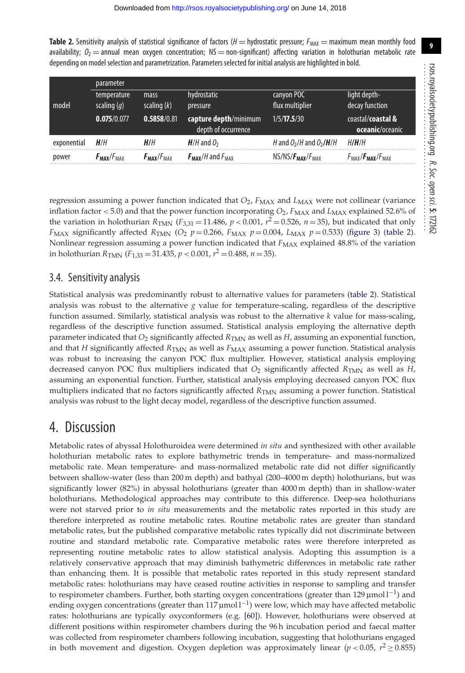<span id="page-8-0"></span>**Table 2.** Sensitivity analysis of statistical significance of factors  $(H = hyd$ rostatic pressure;  $F_{MAX} =$  maximum mean monthly food availability;  $O_2$  = annual mean oxygen concentration; NS = non-significant) affecting variation in holothurian metabolic rate depending on model selection and parametrization. Parameters selected for initial analysis are highlighted in bold.

|             | parameter                       |                                 |                           |                             |                                                |  |
|-------------|---------------------------------|---------------------------------|---------------------------|-----------------------------|------------------------------------------------|--|
|             | temperature                     | mass                            | hydrostatic               | canyon POC                  | light depth-                                   |  |
| model       | scaling $(q)$                   | scaling $(k)$                   | pressure                  | flux multiplier             | decay function                                 |  |
|             | 0.075/0.077                     | 0.5858/0.81                     | capture depth/minimum     | 1/5/17.5/30                 | coastal/coastal &                              |  |
|             |                                 |                                 | depth of occurrence       |                             | oceanic/oceanic                                |  |
| exponential | H/H                             | H/H                             | $H/H$ and $O2$            | H and $O_2/H$ and $O_2/H/H$ | HI <b>H</b> /H                                 |  |
| power       | $F_{\text{MAX}}/F_{\text{MAX}}$ | $F_{\text{MAX}}/F_{\text{MAX}}$ | $F_{MAX}/H$ and $F_{MAX}$ | $NS/NS/F_{MAX}/F_{MAX}$     | $F_{\text{MAX}}/F_{\text{MAX}}/F_{\text{MAX}}$ |  |

regression assuming a power function indicated that  $O_2$ ,  $F_{MAX}$  and  $L_{MAX}$  were not collinear (variance inflation factor  $< 5.0$ ) and that the power function incorporating  $O_2$ ,  $F_{MAX}$  and  $L_{MAX}$  explained 52.6% of the variation in holothurian  $R_{TMN}$  ( $F_{3,31}$  = 11.486,  $p$  < 0.001,  $r^2$  = 0.526,  $n$  = 35), but indicated that only  $F_{MAX}$  significantly affected  $R_{TMIN}$  (*O*<sub>2</sub> *p* = 0.266,  $F_{MAX}$  *p* = 0.004,  $L_{MAX}$  *p* = 0.533) [\(figure 3\)](#page-7-1) [\(table 2\)](#page-8-0). Nonlinear regression assuming a power function indicated that  $F_{MAX}$  explained 48.8% of the variation in holothurian  $R_{\text{TMN}}$  ( $F_{1,33}$  = 31.435,  $p < 0.001$ ,  $r^2$  = 0.488,  $n = 35$ ).

#### 3.4. Sensitivity analysis

Statistical analysis was predominantly robust to alternative values for parameters [\(table 2\)](#page-8-0). Statistical analysis was robust to the alternative  $g$  value for temperature-scaling, regardless of the descriptive function assumed. Similarly, statistical analysis was robust to the alternative *k* value for mass-scaling, regardless of the descriptive function assumed. Statistical analysis employing the alternative depth parameter indicated that  $O_2$  significantly affected  $R_{TMN}$  as well as *H*, assuming an exponential function, and that *H* significantly affected *R*<sub>TMN</sub> as well as *F<sub>MAX</sub>* assuming a power function. Statistical analysis was robust to increasing the canyon POC flux multiplier. However, statistical analysis employing decreased canyon POC flux multipliers indicated that  $O_2$  significantly affected  $R_{TMN}$  as well as *H*, assuming an exponential function. Further, statistical analysis employing decreased canyon POC flux multipliers indicated that no factors significantly affected  $R_{\text{TMN}}$  assuming a power function. Statistical analysis was robust to the light decay model, regardless of the descriptive function assumed.

## 4. Discussion

Metabolic rates of abyssal Holothuroidea were determined *in situ* and synthesized with other available holothurian metabolic rates to explore bathymetric trends in temperature- and mass-normalized metabolic rate. Mean temperature- and mass-normalized metabolic rate did not differ significantly between shallow-water (less than 200 m depth) and bathyal (200–4000 m depth) holothurians, but was significantly lower (82%) in abyssal holothurians (greater than 4000 m depth) than in shallow-water holothurians. Methodological approaches may contribute to this difference. Deep-sea holothurians were not starved prior to *in situ* measurements and the metabolic rates reported in this study are therefore interpreted as routine metabolic rates. Routine metabolic rates are greater than standard metabolic rates, but the published comparative metabolic rates typically did not discriminate between routine and standard metabolic rate. Comparative metabolic rates were therefore interpreted as representing routine metabolic rates to allow statistical analysis. Adopting this assumption is a relatively conservative approach that may diminish bathymetric differences in metabolic rate rather than enhancing them. It is possible that metabolic rates reported in this study represent standard metabolic rates: holothurians may have ceased routine activities in response to sampling and transfer to respirometer chambers. Further, both starting oxygen concentrations (greater than 129 µmol  $l^{-1}$ ) and ending oxygen concentrations (greater than 117 µmol  $l^{-1}$ ) were low, which may have affected metabolic rates: holothurians are typically oxyconformers (e.g. [\[60\]](#page-12-1)). However, holothurians were observed at different positions within respirometer chambers during the 96 h incubation period and faecal matter was collected from respirometer chambers following incubation, suggesting that holothurians engaged in both movement and digestion. Oxygen depletion was approximately linear ( $p < 0.05$ ,  $r^2 \ge 0.855$ )

................................................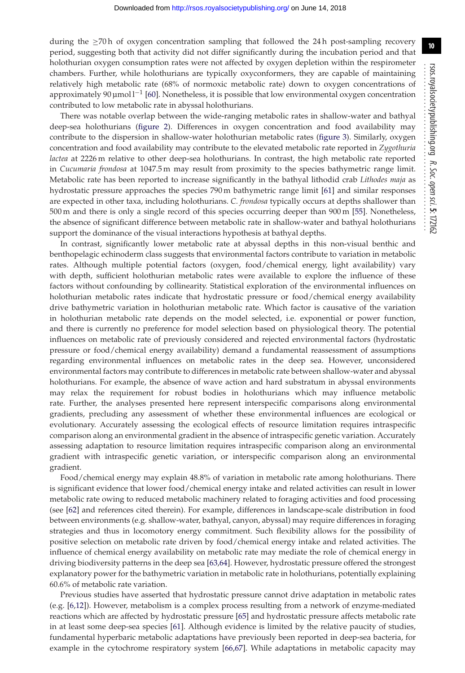during the  $\geq$ 70 h of oxygen concentration sampling that followed the 24 h post-sampling recovery period, suggesting both that activity did not differ significantly during the incubation period and that holothurian oxygen consumption rates were not affected by oxygen depletion within the respirometer chambers. Further, while holothurians are typically oxyconformers, they are capable of maintaining relatively high metabolic rate (68% of normoxic metabolic rate) down to oxygen concentrations of approximately 90  $\mu$ mol l<sup>-1</sup> [\[60\]](#page-12-1). Nonetheless, it is possible that low environmental oxygen concentration contributed to low metabolic rate in abyssal holothurians.

There was notable overlap between the wide-ranging metabolic rates in shallow-water and bathyal deep-sea holothurians [\(figure 2\)](#page-7-0). Differences in oxygen concentration and food availability may contribute to the dispersion in shallow-water holothurian metabolic rates [\(figure 3\)](#page-7-1). Similarly, oxygen concentration and food availability may contribute to the elevated metabolic rate reported in *Zygothuria lactea* at 2226 m relative to other deep-sea holothurians. In contrast, the high metabolic rate reported in *Cucumaria frondosa* at 1047.5 m may result from proximity to the species bathymetric range limit. Metabolic rate has been reported to increase significantly in the bathyal lithodid crab *Lithodes maja* as hydrostatic pressure approaches the species 790 m bathymetric range limit [\[61\]](#page-12-2) and similar responses are expected in other taxa, including holothurians. *C. frondosa* typically occurs at depths shallower than 500 m and there is only a single record of this species occurring deeper than 900 m [\[55\]](#page-11-29). Nonetheless, the absence of significant difference between metabolic rate in shallow-water and bathyal holothurians support the dominance of the visual interactions hypothesis at bathyal depths.

In contrast, significantly lower metabolic rate at abyssal depths in this non-visual benthic and benthopelagic echinoderm class suggests that environmental factors contribute to variation in metabolic rates. Although multiple potential factors (oxygen, food/chemical energy, light availability) vary with depth, sufficient holothurian metabolic rates were available to explore the influence of these factors without confounding by collinearity. Statistical exploration of the environmental influences on holothurian metabolic rates indicate that hydrostatic pressure or food/chemical energy availability drive bathymetric variation in holothurian metabolic rate. Which factor is causative of the variation in holothurian metabolic rate depends on the model selected, i.e. exponential or power function, and there is currently no preference for model selection based on physiological theory. The potential influences on metabolic rate of previously considered and rejected environmental factors (hydrostatic pressure or food/chemical energy availability) demand a fundamental reassessment of assumptions regarding environmental influences on metabolic rates in the deep sea. However, unconsidered environmental factors may contribute to differences in metabolic rate between shallow-water and abyssal holothurians. For example, the absence of wave action and hard substratum in abyssal environments may relax the requirement for robust bodies in holothurians which may influence metabolic rate. Further, the analyses presented here represent interspecific comparisons along environmental gradients, precluding any assessment of whether these environmental influences are ecological or evolutionary. Accurately assessing the ecological effects of resource limitation requires intraspecific comparison along an environmental gradient in the absence of intraspecific genetic variation. Accurately assessing adaptation to resource limitation requires intraspecific comparison along an environmental gradient with intraspecific genetic variation, or interspecific comparison along an environmental gradient.

Food/chemical energy may explain 48.8% of variation in metabolic rate among holothurians. There is significant evidence that lower food/chemical energy intake and related activities can result in lower metabolic rate owing to reduced metabolic machinery related to foraging activities and food processing (see [\[62\]](#page-12-3) and references cited therein). For example, differences in landscape-scale distribution in food between environments (e.g. shallow-water, bathyal, canyon, abyssal) may require differences in foraging strategies and thus in locomotory energy commitment. Such flexibility allows for the possibility of positive selection on metabolic rate driven by food/chemical energy intake and related activities. The influence of chemical energy availability on metabolic rate may mediate the role of chemical energy in driving biodiversity patterns in the deep sea [\[63,](#page-12-4)[64\]](#page-12-5). However, hydrostatic pressure offered the strongest explanatory power for the bathymetric variation in metabolic rate in holothurians, potentially explaining 60.6% of metabolic rate variation.

Previous studies have asserted that hydrostatic pressure cannot drive adaptation in metabolic rates (e.g. [\[6,](#page-10-3)[12\]](#page-11-31)). However, metabolism is a complex process resulting from a network of enzyme-mediated reactions which are affected by hydrostatic pressure [\[65\]](#page-12-6) and hydrostatic pressure affects metabolic rate in at least some deep-sea species [\[61\]](#page-12-2). Although evidence is limited by the relative paucity of studies, fundamental hyperbaric metabolic adaptations have previously been reported in deep-sea bacteria, for example in the cytochrome respiratory system [\[66](#page-12-7)[,67\]](#page-12-8). While adaptations in metabolic capacity may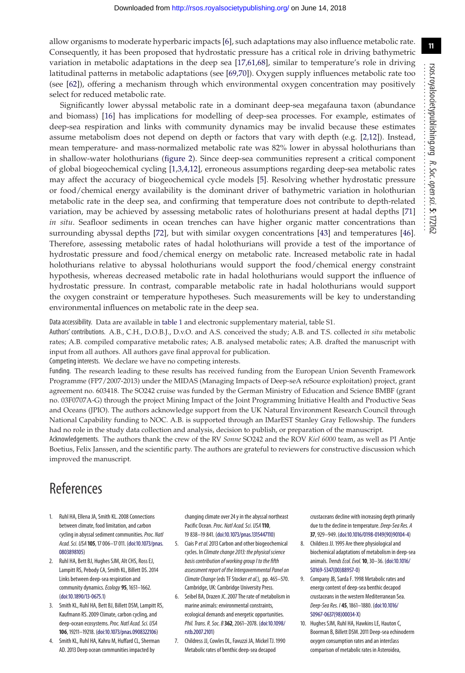allow organisms to moderate hyperbaric impacts [\[6\]](#page-10-3), such adaptations may also influence metabolic rate. Consequently, it has been proposed that hydrostatic pressure has a critical role in driving bathymetric variation in metabolic adaptations in the deep sea [\[17,](#page-11-4)[61](#page-12-2)[,68\]](#page-12-9), similar to temperature's role in driving latitudinal patterns in metabolic adaptations (see [\[69,](#page-12-10)[70\]](#page-12-11)). Oxygen supply influences metabolic rate too (see [\[62\]](#page-12-3)), offering a mechanism through which environmental oxygen concentration may positively select for reduced metabolic rate.

Significantly lower abyssal metabolic rate in a dominant deep-sea megafauna taxon (abundance and biomass) [\[16\]](#page-11-3) has implications for modelling of deep-sea processes. For example, estimates of deep-sea respiration and links with community dynamics may be invalid because these estimates assume metabolism does not depend on depth or factors that vary with depth (e.g. [\[2](#page-10-6)[,12\]](#page-11-31)). Instead, mean temperature- and mass-normalized metabolic rate was 82% lower in abyssal holothurians than in shallow-water holothurians [\(figure 2\)](#page-7-0). Since deep-sea communities represent a critical component of global biogeochemical cycling [\[1,](#page-10-0)[3](#page-10-7)[,4,](#page-10-1)[12\]](#page-11-31), erroneous assumptions regarding deep-sea metabolic rates may affect the accuracy of biogeochemical cycle models [\[5\]](#page-10-2). Resolving whether hydrostatic pressure or food/chemical energy availability is the dominant driver of bathymetric variation in holothurian metabolic rate in the deep sea, and confirming that temperature does not contribute to depth-related variation, may be achieved by assessing metabolic rates of holothurians present at hadal depths [\[71\]](#page-12-12) *in situ*. Seafloor sediments in ocean trenches can have higher organic matter concentrations than surrounding abyssal depths [\[72\]](#page-12-13), but with similar oxygen concentrations [\[43\]](#page-11-18) and temperatures [\[46\]](#page-11-21). Therefore, assessing metabolic rates of hadal holothurians will provide a test of the importance of hydrostatic pressure and food/chemical energy on metabolic rate. Increased metabolic rate in hadal holothurians relative to abyssal holothurians would support the food/chemical energy constraint hypothesis, whereas decreased metabolic rate in hadal holothurians would support the influence of hydrostatic pressure. In contrast, comparable metabolic rate in hadal holothurians would support the oxygen constraint or temperature hypotheses. Such measurements will be key to understanding environmental influences on metabolic rate in the deep sea.

Data accessibility. Data are available in [table 1](#page-3-0) and electronic supplementary material, table S1.

Authors' contributions. A.B., C.H., D.O.B.J., D.v.O. and A.S. conceived the study; A.B. and T.S. collected *in situ* metabolic rates; A.B. compiled comparative metabolic rates; A.B. analysed metabolic rates; A.B. drafted the manuscript with input from all authors. All authors gave final approval for publication.

Competing interests. We declare we have no competing interests.

Funding. The research leading to these results has received funding from the European Union Seventh Framework Programme (FP7/2007-2013) under the MIDAS (Managing Impacts of Deep-seA reSource exploitation) project, grant agreement no. 603418. The SO242 cruise was funded by the German Ministry of Education and Science BMBF (grant no. 03F0707A-G) through the project Mining Impact of the Joint Programming Initiative Health and Productive Seas and Oceans (JPIO). The authors acknowledge support from the UK Natural Environment Research Council through National Capability funding to NOC. A.B. is supported through an IMarEST Stanley Gray Fellowship. The funders had no role in the study data collection and analysis, decision to publish, or preparation of the manuscript.

Acknowledgements. The authors thank the crew of the RV *Sonne* SO242 and the ROV *Kiel 6000* team, as well as PI Antje Boetius, Felix Janssen, and the scientific party. The authors are grateful to reviewers for constructive discussion which improved the manuscript.

## References

- <span id="page-10-0"></span>1. Ruhl HA, Ellena JA, Smith KL. 2008 Connections between climate, food limitation, and carbon cycling in abyssal sediment communities. Proc. Natl Acad. Sci. USA **105**, 17 006–17 011. [\(doi:10.1073/pnas.](http://dx.doi.org/10.1073/pnas.0803898105) [0803898105\)](http://dx.doi.org/10.1073/pnas.0803898105)
- <span id="page-10-6"></span>2. Ruhl HA, Bett BJ, Hughes SJM, Alt CHS, Ross EJ, Lampitt RS, Pebody CA, Smith KL, Billett DS. 2014 Links between deep-sea respiration and community dynamics. Ecology 95, 1651-1662. [\(doi:10.1890/13-0675.1\)](http://dx.doi.org/10.1890/13-0675.1)
- <span id="page-10-7"></span>3. Smith KL, Ruhl HA, Bett BJ, Billett DSM, Lampitt RS, Kaufmann RS. 2009 Climate, carbon cycling, and deep-ocean ecosystems. Proc. Natl Acad. Sci. USA **106**, 19211–19218. [\(doi:10.1073/pnas.0908322106\)](http://dx.doi.org/10.1073/pnas.0908322106)
- <span id="page-10-1"></span>4. Smith KL, Ruhl HA, Kahru M, Huffard CL, Sherman AD. 2013 Deep ocean communities impacted by

changing climate over 24 y in the abyssal northeast Pacific Ocean. Proc. Natl Acad. Sci. USA 110, 19 838–19 841. [\(doi:10.1073/pnas.1315447110\)](http://dx.doi.org/10.1073/pnas.1315447110)

- <span id="page-10-2"></span>5. Ciais Pet al.2013 Carbon and other biogeochemical cycles. In Climate change 2013: the physical science basis contribution of working group I to the fifth assessment report of the Intergovernmental Panel on Climate Change (eds TF Stocker et al.), pp. 465-570. Cambridge, UK: Cambridge University Press.
- <span id="page-10-3"></span>6. Seibel BA, Drazen JC. 2007 The rate of metabolism in marine animals: environmental constraints, ecological demands and energetic opportunities. Phil. Trans. R. Soc. B **362**, 2061–2078. [\(doi:10.1098/](http://dx.doi.org/10.1098/rstb.2007.2101) [rstb.2007.2101\)](http://dx.doi.org/10.1098/rstb.2007.2101)
- <span id="page-10-4"></span>7. Childress JJ, Cowles DL, Favuzzi JA, Mickel TJ. 1990 Metabolic rates of benthic deep-sea decapod

crustaceans decline with increasing depth primarily due to the decline in temperature. Deep-Sea Res. A **37**, 929–949. [\(doi:10.1016/0198-0149\(90\)90104-4\)](http://dx.doi.org/10.1016/0198-0149(90)90104-4)

- 8. Childress JJ. 1995 Are there physiological and biochemical adaptations of metabolism in deep-sea animals.Trends Ecol. Evol.**10**, 30–36. [\(doi:10.1016/](http://dx.doi.org/10.1016/S0169-5347(00)88957-0) [S0169-5347\(00\)88957-0\)](http://dx.doi.org/10.1016/S0169-5347(00)88957-0)
- 9. Company JB, Sarda F. 1998 Metabolic rates and energy content of deep-sea benthic decapod crustaceans in the western Mediterranean Sea. Deep-Sea Res. I **45**, 1861–1880. [\(doi:10.1016/](http://dx.doi.org/10.1016/S0967-0637(98)00034-X) [S0967-0637\(98\)00034-X\)](http://dx.doi.org/10.1016/S0967-0637(98)00034-X)
- <span id="page-10-5"></span>10. Hughes SJM, Ruhl HA, Hawkins LE, Hauton C, Boorman B, Billett DSM. 2011 Deep-sea echinoderm oxygen consumption rates and an interclass comparison of metabolic rates in Asteroidea,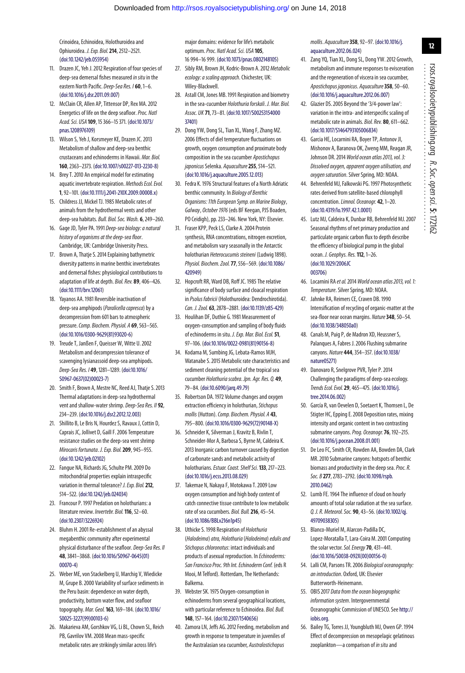Crinoidea, Echinoidea, Holothuroidea and Ophiuroidea. J. Exp. Biol.**214**, 2512–2521. [\(doi:10.1242/jeb.055954\)](http://dx.doi.org/10.1242/jeb.055954)

- 11. Drazen JC, Yeh J. 2012 Respiration of four species of deep-sea demersal fishes measured in situ in the eastern North Pacific. Deep-Sea Res. I **60**, 1–6. [\(doi:10.1016/j.dsr.2011.09.007\)](http://dx.doi.org/10.1016/j.dsr.2011.09.007)
- <span id="page-11-31"></span>12. McClain CR, Allen AP, Tittensor DP, Rex MA. 2012 Energetics of life on the deep seafloor. Proc. Natl Acad. Sci. USA **109**, 15 366–15 371. [\(doi:10.1073/](http://dx.doi.org/10.1073/pnas.1208976109) [pnas.1208976109\)](http://dx.doi.org/10.1073/pnas.1208976109)
- <span id="page-11-0"></span>13. Wilson S, Yeh J, Korsmeyer KE, Drazen JC. 2013 Metabolism of shallow and deep-sea benthic crustaceans and echinoderms in Hawaii. Mar. Biol. **160**, 2363–2373. [\(doi:10.1007/s00227-013-2230-8\)](http://dx.doi.org/10.1007/s00227-013-2230-8)
- <span id="page-11-1"></span>14. Brey T. 2010 An empirical model for estimating aquatic invertebrate respiration. Methods Ecol. Evol. **1**, 92–101. [\(doi:10.1111/j.2041-210X.2009.00008.x\)](http://dx.doi.org/10.1111/j.2041-210X.2009.00008.x)
- <span id="page-11-2"></span>15. Childress JJ, Mickel TJ. 1985 Metabolic rates of animals from the hydrothermal vents and other deep-sea habitats. Bull. Biol. Soc. Wash. **6**, 249–260.
- <span id="page-11-3"></span>16. Gage JD, Tyler PA. 1991 Deep-sea biology: a natural history of organisms at the deep-sea floor. Cambridge, UK: Cambridge University Press.
- <span id="page-11-4"></span>17. Brown A, Thatje S. 2014 Explaining bathymetric diversity patterns in marine benthic invertebrates and demersal fishes: physiological contributions to adaptation of life at depth. Biol. Rev. **89**, 406–426. [\(doi:10.1111/brv.12061\)](http://dx.doi.org/10.1111/brv.12061)
- <span id="page-11-5"></span>18. Yayanos AA. 1981 Reversible inactivation of deep-sea amphipods (Paralicella capresca) by a decompression from 601 bars to atmospheric pressure. Comp. Biochem. Physiol. A 69, 563-565. [\(doi:10.1016/0300-9629\(81\)93020-6\)](http://dx.doi.org/10.1016/0300-9629(81)93020-6)
- <span id="page-11-6"></span>19. Treude T, Janßen F, Queisser W, Witte U. 2002 Metabolism and decompression tolerance of scavenging lysianassoid deep-sea amphipods. Deep-Sea Res. I **49**, 1281–1289. [\(doi:10.1016/](http://dx.doi.org/10.1016/S0967-0637(02)00023-7) [S0967-0637\(02\)00023-7\)](http://dx.doi.org/10.1016/S0967-0637(02)00023-7)
- <span id="page-11-7"></span>20. Smith F, Brown A, Mestre NC, Reed AJ, Thatje S. 2013 Thermal adaptations in deep-sea hydrothermal vent and shallow-water shrimp. Deep-Sea Res. II **92**, 234–239. [\(doi:10.1016/j.dsr2.2012.12.003\)](http://dx.doi.org/10.1016/j.dsr2.2012.12.003)
- <span id="page-11-8"></span>21. Shillito B, Le Bris N, Hourdez S, Ravaux J, Cottin D, Caprais JC, Jollivet D, Gaill F. 2006 Temperature resistance studies on the deep-sea vent shrimp Mirocaris fortunata. J. Exp. Biol.**209**, 945–955. [\(doi:10.1242/jeb.02102\)](http://dx.doi.org/10.1242/jeb.02102)
- <span id="page-11-9"></span>22. Fangue NA, Richards JG, Schulte PM. 2009 Do mitochondrial properties explain intraspecific variation in thermal tolerance? J. Exp. Biol.**212**, 514–522. [\(doi:10.1242/jeb.024034\)](http://dx.doi.org/10.1242/jeb.024034)
- <span id="page-11-10"></span>23. Francour P. 1997 Predation on holothurians: a literature review. Invertebr. Biol.**116**, 52–60. [\(doi:10.2307/3226924\)](http://dx.doi.org/10.2307/3226924)
- <span id="page-11-11"></span>24. Bluhm H. 2001 Re-establishment of an abyssal megabenthic community after experimental physical disturbance of the seafloor. Deep-Sea Res. II **48**, 3841–3868. [\(doi:10.1016/S0967-0645\(01\)](http://dx.doi.org/10.1016/S0967-0645(01)00070-4) [00070-4\)](http://dx.doi.org/10.1016/S0967-0645(01)00070-4)
- <span id="page-11-12"></span>25. Weber ME, von Stackelberg U, Marchig V, Wiedicke M, Grupe B. 2000 Variability of surface sediments in the Peru basin: dependence on water depth, productivity, bottom water flow, and seafloor topography. Mar. Geol.**163**, 169–184. [\(doi:10.1016/](http://dx.doi.org/10.1016/S0025-3227(99)00103-6) [S0025-3227\(99\)00103-6\)](http://dx.doi.org/10.1016/S0025-3227(99)00103-6)
- <span id="page-11-13"></span>26. Makarieva AM, Gorshkov VG, Li BL, Chown SL, Reich PB, Gavrilov VM. 2008 Mean mass-specific metabolic rates are strikingly similar across life's

major domains: evidence for life's metabolic optimum.Proc. Natl Acad. Sci. USA **105**, 16 994–16 999. [\(doi:10.1073/pnas.0802148105\)](http://dx.doi.org/10.1073/pnas.0802148105)

- <span id="page-11-14"></span>27. Sibly RM, Brown JH, Kodric-Brown A. 2012 Metabolic ecology: a scaling approach. Chichester, UK: Wiley-Blackwell.
- <span id="page-11-16"></span>28. Astall CM, Jones MB. 1991 Respiration and biometry in the sea-cucumber Holothuria forskali. J. Mar. Biol. Assoc. UK **71**, 73–81. [\(doi:10.1017/S00253154000](http://dx.doi.org/10.1017/S0025315400037401) [37401\)](http://dx.doi.org/10.1017/S0025315400037401)
- 29. Dong YW, Dong SL, Tian XL, Wang F, Zhang MZ. 2006 Effects of diel temperature fluctuations on growth, oxygen consumption and proximate body composition in the sea cucumber Apostichopus japonicus Selenka. Aquaculture 255, 514–521. [\(doi:10.1016/j.aquaculture.2005.12.013\)](http://dx.doi.org/10.1016/j.aquaculture.2005.12.013)
- 30. Fedra K. 1976 Structural features of a North Adriatic benthic community. In Biology of Benthic Organisms: 11th European Symp. on Marine Biology, Galway, October 1976(eds BF Keegan, PJS Boaden, PO Ceidigh), pp. 233–246. New York, NY: Elsevier.
- 31. Fraser KPP, Peck LS, Clarke A. 2004 Protein synthesis, RNA concentrations, nitrogen excretion, and metabolism vary seasonally in the Antarctic holothurian Heterocucumis steineni (Ludwig 1898). Physiol. Biochem. Zool.**77**, 556–569. [\(doi:10.1086/](http://dx.doi.org/10.1086/420949) [420949\)](http://dx.doi.org/10.1086/420949)
- 32. Hopcroft RR, Ward DB, Roff JC. 1985 The relative significance of body surface and cloacal respiration in Psolus fabricii (Holothuroidea: Dendrochirotida). Can. J. Zool. **63**, 2878–2881. [\(doi:10.1139/z85-429\)](http://dx.doi.org/10.1139/z85-429)
- 33. Houlihan DF, Duthie G. 1981 Measurement of oxygen-consumption and sampling of body fluids of echinoderms in situ. J. Exp. Mar. Biol. Ecol.**51**, 97–106. [\(doi:10.1016/0022-0981\(81\)90156-8\)](http://dx.doi.org/10.1016/0022-0981(81)90156-8)
- 34. Kodama M, Sumbing JG, Lebata-Ramos MJH, Watanabe S. 2015 Metabolic rate characteristics and sediment cleaning potential of the tropical sea cucumber Holothuria scabra. Jpn. Agr. Res. Q. **49**, 79–84. [\(doi:10.6090/jarq.49.79\)](http://dx.doi.org/10.6090/jarq.49.79)
- 35. Robertson DA. 1972 Volume changes and oxygen extraction efficiency in holothurian, Stichopus mollis (Hutton). Comp. Biochem. Physiol. A 43, 795–800. [\(doi:10.1016/0300-9629\(72\)90148-X\)](http://dx.doi.org/10.1016/0300-9629(72)90148-X)
- 36. Schneider K, Silverman J, Kravitz B, Rivlin T, Schneider-Mor A, Barbosa S, Byrne M, Caldeira K. 2013 Inorganic carbon turnover caused by digestion of carbonate sands and metabolic activity of holothurians.Estuar. Coast. Shelf Sci.**133**, 217–223. [\(doi:10.1016/j.ecss.2013.08.029\)](http://dx.doi.org/10.1016/j.ecss.2013.08.029)
- 37. Takemae N, Nakaya F, Motokawa T. 2009 Low oxygen consumption and high body content of catch connective tissue contribute to low metabolic rate of sea cucumbers. Biol. Bull.**216**, 45–54. [\(doi:10.1086/BBLv216n1p45\)](http://dx.doi.org/10.1086/BBLv216n1p45)
- 38. Uthicke S. 1998 Respiration of Holothuria (Halodeima) atra, Holothuria (Halodeima) edulis and Stichopus chloronotus: intact individuals and products of asexual reproduction. In Echinoderms: San Francisco Proc. 9th Int. Echinoderm Conf. (eds R Mooi, M Telford). Rotterdam, The Netherlands: Balkema.
- 39. Webster SK. 1975 Oxygen-consumption in echinoderms from several geographical locations, with particular reference to Echinoidea. Biol. Bull. **148**, 157–164. [\(doi:10.2307/1540656\)](http://dx.doi.org/10.2307/1540656)
- 40. Zamora LN, Jeffs AG. 2012 Feeding, metabolism and growth in response to temperature in juveniles of the Australasian sea cucumber, Australostichopus

mollis. Aquaculture**358**, 92–97. [\(doi:10.1016/j.](http://dx.doi.org/10.1016/j.aquaculture.2012.06.024) [aquaculture.2012.06.024\)](http://dx.doi.org/10.1016/j.aquaculture.2012.06.024)

- <span id="page-11-17"></span>41. Zang YQ, Tian XL, Dong SL, Dong YW. 2012 Growth, metabolism and immune responses to evisceration and the regeneration of viscera in sea cucumber, Apostichopus japonicus. Aquaculture**358**, 50–60. [\(doi:10.1016/j.aquaculture.2012.06.007\)](http://dx.doi.org/10.1016/j.aquaculture.2012.06.007)
- <span id="page-11-15"></span>42. Glazier DS. 2005 Beyond the '3/4-power law': variation in the intra- and interspecific scaling of metabolic rate in animals. Biol. Rev. **80**, 611–662. [\(doi:10.1017/S1464793105006834\)](http://dx.doi.org/10.1017/S1464793105006834)
- <span id="page-11-18"></span>43. Garcia HE, Locarnini RA, Boyer TP, Antonov JI, Mishonov A, Baranova OK, Zweng MM, Reagan JR, Johnson DR. 2014 World ocean atlas 2013, vol. 3: Dissolved oxygen, apparent oxygen utilisation, and oxygen saturation. Silver Spring, MD: NOAA.
- <span id="page-11-19"></span>44. Behrenfeld MJ, Falkowski PG. 1997 Photosynthetic rates derived from satellite-based chlorophyll concentration.Limnol. Oceanogr. **42**, 1–20. [\(doi:10.4319/lo.1997.42.1.0001\)](http://dx.doi.org/10.4319/lo.1997.42.1.0001)
- <span id="page-11-20"></span>45. Lutz MJ, Caldeira K, Dunbar RB, Behrenfeld MJ. 2007 Seasonal rhythms of net primary production and particulate organic carbon flux to depth describe the efficiency of biological pump in the global ocean. J. Geophys. Res.**112**, 1–26. [\(doi:10.1029/2006JC](http://dx.doi.org/10.1029/2006JC003706) [003706\)](http://dx.doi.org/10.1029/2006JC003706)
- <span id="page-11-21"></span>46. Locarnini RA et al.2014World ocean atlas 2013, vol.1: Temperature. Silver Spring, MD: NOAA.
- <span id="page-11-22"></span>47. Jahnke RA, Reimers CE, Craven DB. 1990 Intensification of recycling of organic-matter at the sea-floor near ocean margins. Nature**348**, 50–54. [\(doi:10.1038/348050a0\)](http://dx.doi.org/10.1038/348050a0)
- 48. Canals M, Puig P, de Madron XD, Heussner S, Palanques A, Fabres J. 2006 Flushing submarine canyons. Nature **444**, 354–357. [\(doi:10.1038/](http://dx.doi.org/10.1038/nature05271) [nature05271\)](http://dx.doi.org/10.1038/nature05271)
- <span id="page-11-23"></span>49. Danovaro R, Snelgrove PVR, Tyler P. 2014 Challenging the paradigms of deep-sea ecology. Trends Ecol. Evol.**29**, 465–475. [\(doi:10.1016/j.](http://dx.doi.org/10.1016/j.tree.2014.06.002) [tree.2014.06.002\)](http://dx.doi.org/10.1016/j.tree.2014.06.002)
- <span id="page-11-24"></span>50. García R, van Oevelen D, Soetaert K, Thomsen L, De Stigter HC, Epping E. 2008 Deposition rates, mixing intensity and organic content in two contrasting submarine canyons.Prog. Oceanogr.**76**, 192–215. [\(doi:10.1016/j.pocean.2008.01.001\)](http://dx.doi.org/10.1016/j.pocean.2008.01.001)
- <span id="page-11-25"></span>51. De Leo FC, Smith CR, Rowden AA, Bowden DA, Clark MR. 2010 Submarine canyons: hotspots of benthic biomass and productivity in the deep sea. Proc. R. Soc. B **277**, 2783–2792. [\(doi:10.1098/rspb.](http://dx.doi.org/10.1098/rspb.2010.0462) [2010.0462\)](http://dx.doi.org/10.1098/rspb.2010.0462)
- <span id="page-11-26"></span>52. Lumb FE. 1964 The influence of cloud on hourly amounts of total solar radiation at the sea surface. Q. J. R. Meteorol. Soc. **90**, 43–56. [\(doi:10.1002/qj.](http://dx.doi.org/10.1002/qj.49709038305) [49709038305\)](http://dx.doi.org/10.1002/qj.49709038305)
- <span id="page-11-27"></span>53. Blanco-Muriel M, Alarcon-Padilla DC, Lopez-Moratalla T, Lara-Coira M. 2001 Computing the solar vector. Sol. Energy 70, 431-441. [\(doi:10.1016/S0038-092X\(00\)00156-0\)](http://dx.doi.org/10.1016/S0038-092X(00)00156-0)
- <span id="page-11-28"></span>54. Lalli CM, Parsons TR. 2006 Biological oceanography: an introduction. Oxford, UK: Elsevier Butterworth-Heinemann.
- <span id="page-11-29"></span>55. OBIS 2017 Data from the ocean biogeographic information system. Intergovernmental Oceanographic Commission of UNESCO. See [http://](http://iobis.org) [iobis.org.](http://iobis.org)
- <span id="page-11-30"></span>56. Bailey TG, Torres JJ, Youngbluth MJ, Owen GP. 1994 Effect of decompression on mesopelagic gelatinous zooplankton-a comparison of in situ and